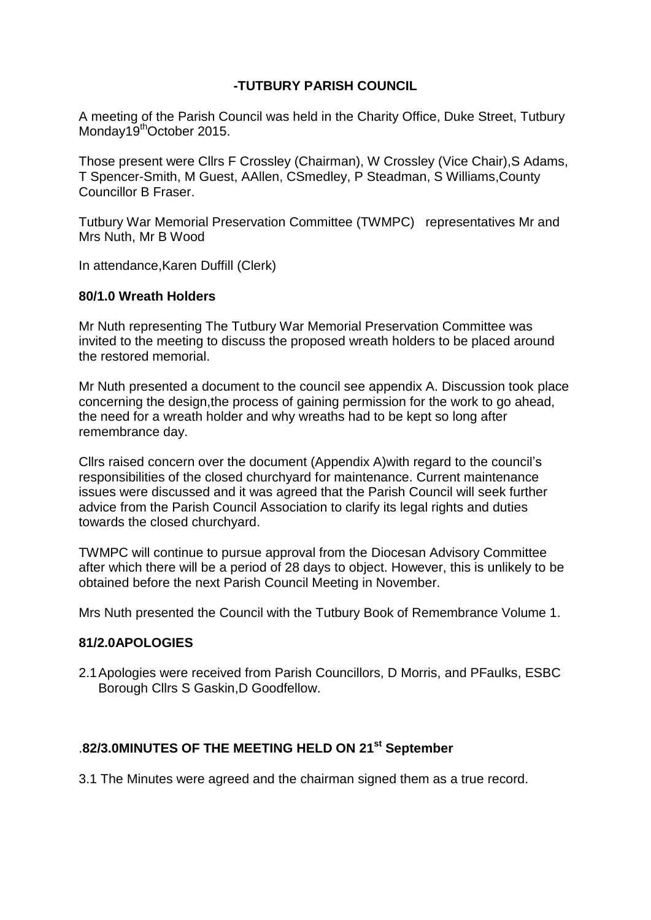## **-TUTBURY PARISH COUNCIL**

A meeting of the Parish Council was held in the Charity Office, Duke Street, Tutbury Monday19<sup>th</sup>October 2015.

Those present were Cllrs F Crossley (Chairman), W Crossley (Vice Chair),S Adams, T Spencer-Smith, M Guest, AAllen, CSmedley, P Steadman, S Williams,County Councillor B Fraser.

Tutbury War Memorial Preservation Committee (TWMPC) representatives Mr and Mrs Nuth, Mr B Wood

In attendance,Karen Duffill (Clerk)

#### **80/1.0 Wreath Holders**

Mr Nuth representing The Tutbury War Memorial Preservation Committee was invited to the meeting to discuss the proposed wreath holders to be placed around the restored memorial.

Mr Nuth presented a document to the council see appendix A. Discussion took place concerning the design,the process of gaining permission for the work to go ahead, the need for a wreath holder and why wreaths had to be kept so long after remembrance day.

Cllrs raised concern over the document (Appendix A)with regard to the council's responsibilities of the closed churchyard for maintenance. Current maintenance issues were discussed and it was agreed that the Parish Council will seek further advice from the Parish Council Association to clarify its legal rights and duties towards the closed churchyard.

TWMPC will continue to pursue approval from the Diocesan Advisory Committee after which there will be a period of 28 days to object. However, this is unlikely to be obtained before the next Parish Council Meeting in November.

Mrs Nuth presented the Council with the Tutbury Book of Remembrance Volume 1.

### **81/2.0APOLOGIES**

2.1Apologies were received from Parish Councillors, D Morris, and PFaulks, ESBC Borough Cllrs S Gaskin,D Goodfellow.

## .**82/3.0MINUTES OF THE MEETING HELD ON 21st September**

3.1 The Minutes were agreed and the chairman signed them as a true record.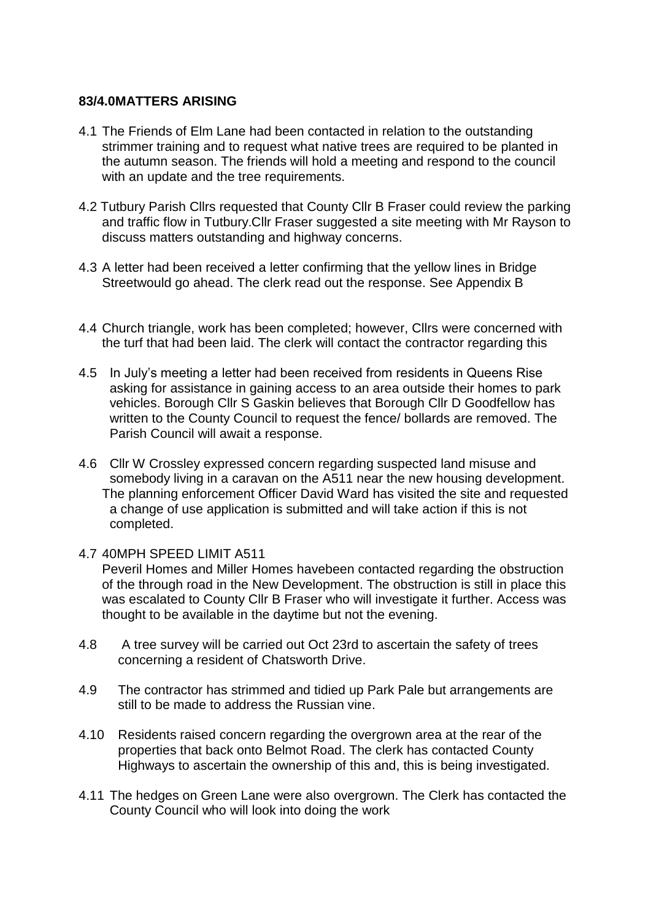### **83/4.0MATTERS ARISING**

- 4.1 The Friends of Elm Lane had been contacted in relation to the outstanding strimmer training and to request what native trees are required to be planted in the autumn season. The friends will hold a meeting and respond to the council with an update and the tree requirements.
- 4.2 Tutbury Parish Cllrs requested that County Cllr B Fraser could review the parking and traffic flow in Tutbury.Cllr Fraser suggested a site meeting with Mr Rayson to discuss matters outstanding and highway concerns.
- 4.3 A letter had been received a letter confirming that the yellow lines in Bridge Streetwould go ahead. The clerk read out the response. See Appendix B
- 4.4 Church triangle, work has been completed; however, Cllrs were concerned with the turf that had been laid. The clerk will contact the contractor regarding this
- 4.5 In July's meeting a letter had been received from residents in Queens Rise asking for assistance in gaining access to an area outside their homes to park vehicles. Borough Cllr S Gaskin believes that Borough Cllr D Goodfellow has written to the County Council to request the fence/ bollards are removed. The Parish Council will await a response.
- 4.6 Cllr W Crossley expressed concern regarding suspected land misuse and somebody living in a caravan on the A511 near the new housing development. The planning enforcement Officer David Ward has visited the site and requested a change of use application is submitted and will take action if this is not completed.
- 4.7 40MPH SPEED LIMIT A511

Peveril Homes and Miller Homes havebeen contacted regarding the obstruction of the through road in the New Development. The obstruction is still in place this was escalated to County Cllr B Fraser who will investigate it further. Access was thought to be available in the daytime but not the evening.

- 4.8 A tree survey will be carried out Oct 23rd to ascertain the safety of trees concerning a resident of Chatsworth Drive.
- 4.9 The contractor has strimmed and tidied up Park Pale but arrangements are still to be made to address the Russian vine.
- 4.10 Residents raised concern regarding the overgrown area at the rear of the properties that back onto Belmot Road. The clerk has contacted County Highways to ascertain the ownership of this and, this is being investigated.
- 4.11 The hedges on Green Lane were also overgrown. The Clerk has contacted the County Council who will look into doing the work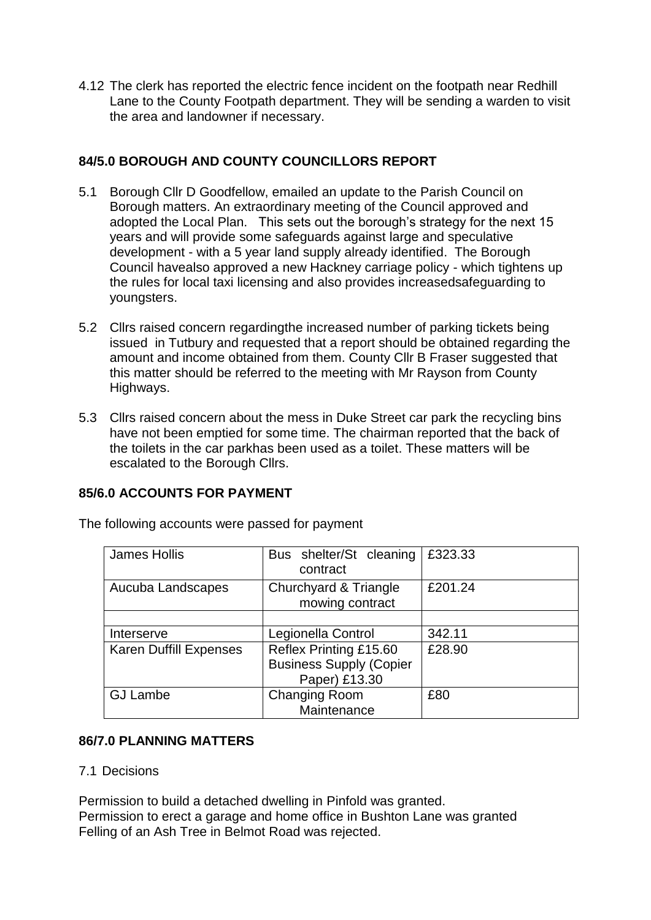4.12 The clerk has reported the electric fence incident on the footpath near Redhill Lane to the County Footpath department. They will be sending a warden to visit the area and landowner if necessary.

## **84/5.0 BOROUGH AND COUNTY COUNCILLORS REPORT**

- 5.1 Borough Cllr D Goodfellow, emailed an update to the Parish Council on Borough matters. An extraordinary meeting of the Council approved and adopted the Local Plan. This sets out the borough's strategy for the next 15 years and will provide some safeguards against large and speculative development - with a 5 year land supply already identified. The Borough Council havealso approved a new Hackney carriage policy - which tightens up the rules for local taxi licensing and also provides increasedsafeguarding to youngsters.
- 5.2 Cllrs raised concern regardingthe increased number of parking tickets being issued in Tutbury and requested that a report should be obtained regarding the amount and income obtained from them. County Cllr B Fraser suggested that this matter should be referred to the meeting with Mr Rayson from County Highways.
- 5.3 Cllrs raised concern about the mess in Duke Street car park the recycling bins have not been emptied for some time. The chairman reported that the back of the toilets in the car parkhas been used as a toilet. These matters will be escalated to the Borough Cllrs.

# **85/6.0 ACCOUNTS FOR PAYMENT**

| James Hollis                  | Bus shelter/St cleaning<br>contract                                       | £323.33 |
|-------------------------------|---------------------------------------------------------------------------|---------|
| Aucuba Landscapes             | Churchyard & Triangle<br>mowing contract                                  | £201.24 |
|                               |                                                                           |         |
| Interserve                    | Legionella Control                                                        | 342.11  |
| <b>Karen Duffill Expenses</b> | Reflex Printing £15.60<br><b>Business Supply (Copier</b><br>Paper) £13.30 | £28.90  |
| <b>GJ Lambe</b>               | <b>Changing Room</b><br>Maintenance                                       | £80     |

The following accounts were passed for payment

### **86/7.0 PLANNING MATTERS**

### 7.1 Decisions

Permission to build a detached dwelling in Pinfold was granted. Permission to erect a garage and home office in Bushton Lane was granted Felling of an Ash Tree in Belmot Road was rejected.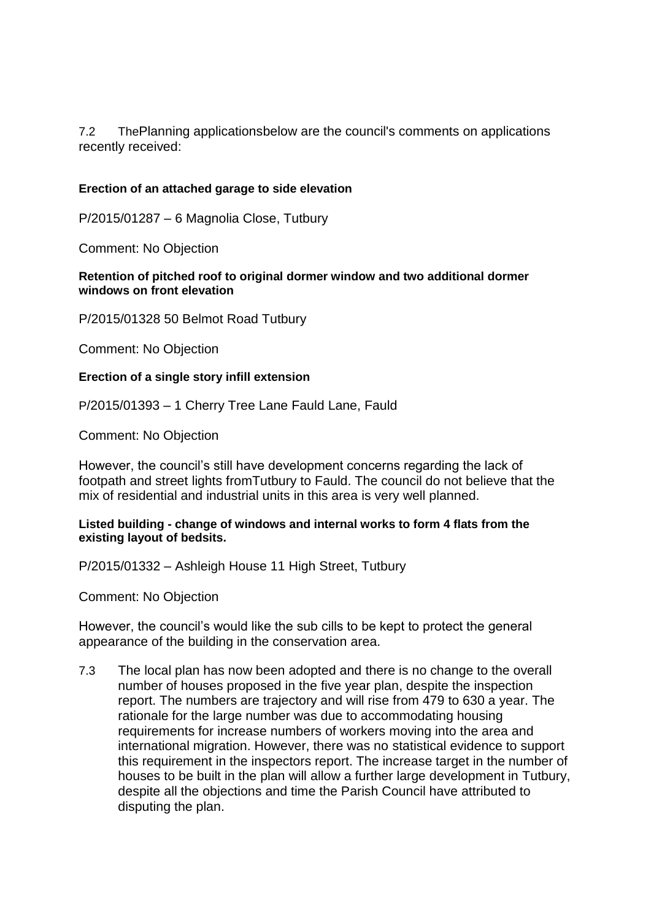7.2 ThePlanning applicationsbelow are the council's comments on applications recently received:

#### **Erection of an attached garage to side elevation**

P/2015/01287 – 6 Magnolia Close, Tutbury

Comment: No Objection

#### **Retention of pitched roof to original dormer window and two additional dormer windows on front elevation**

P/2015/01328 50 Belmot Road Tutbury

Comment: No Objection

#### **Erection of a single story infill extension**

P/2015/01393 – 1 Cherry Tree Lane Fauld Lane, Fauld

Comment: No Objection

However, the council's still have development concerns regarding the lack of footpath and street lights fromTutbury to Fauld. The council do not believe that the mix of residential and industrial units in this area is very well planned.

#### **Listed building - change of windows and internal works to form 4 flats from the existing layout of bedsits.**

P/2015/01332 – Ashleigh House 11 High Street, Tutbury

Comment: No Objection

However, the council's would like the sub cills to be kept to protect the general appearance of the building in the conservation area.

7.3 The local plan has now been adopted and there is no change to the overall number of houses proposed in the five year plan, despite the inspection report. The numbers are trajectory and will rise from 479 to 630 a year. The rationale for the large number was due to accommodating housing requirements for increase numbers of workers moving into the area and international migration. However, there was no statistical evidence to support this requirement in the inspectors report. The increase target in the number of houses to be built in the plan will allow a further large development in Tutbury, despite all the objections and time the Parish Council have attributed to disputing the plan.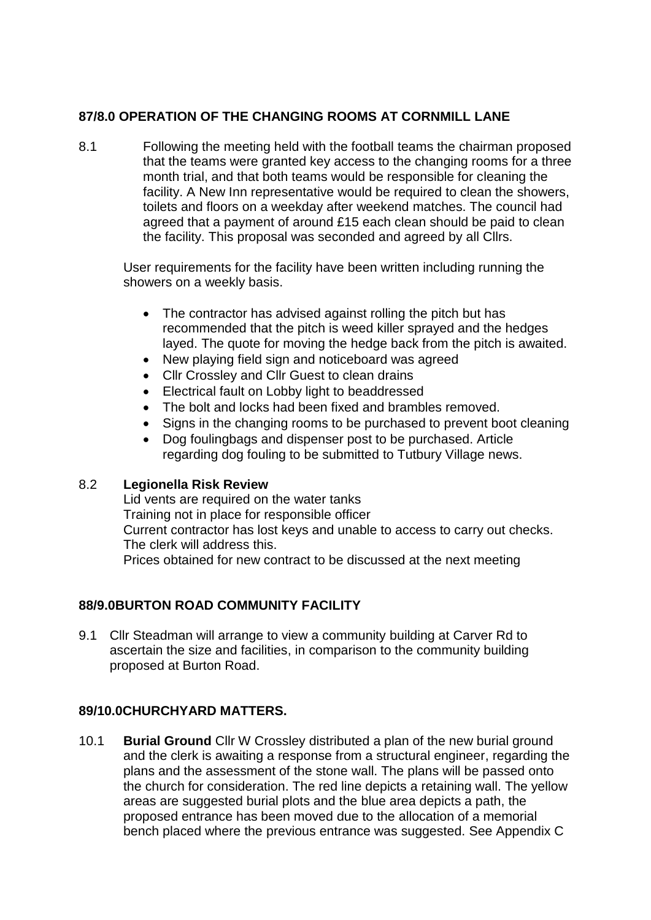# **87/8.0 OPERATION OF THE CHANGING ROOMS AT CORNMILL LANE**

8.1 Following the meeting held with the football teams the chairman proposed that the teams were granted key access to the changing rooms for a three month trial, and that both teams would be responsible for cleaning the facility. A New Inn representative would be required to clean the showers, toilets and floors on a weekday after weekend matches. The council had agreed that a payment of around £15 each clean should be paid to clean the facility. This proposal was seconded and agreed by all Cllrs.

User requirements for the facility have been written including running the showers on a weekly basis.

- The contractor has advised against rolling the pitch but has recommended that the pitch is weed killer sprayed and the hedges layed. The quote for moving the hedge back from the pitch is awaited.
- New playing field sign and noticeboard was agreed
- Cllr Crossley and Cllr Guest to clean drains
- Electrical fault on Lobby light to beaddressed
- The bolt and locks had been fixed and brambles removed.
- Signs in the changing rooms to be purchased to prevent boot cleaning
- Dog foulingbags and dispenser post to be purchased. Article regarding dog fouling to be submitted to Tutbury Village news.

### 8.2 **Legionella Risk Review**

Lid vents are required on the water tanks Training not in place for responsible officer Current contractor has lost keys and unable to access to carry out checks. The clerk will address this. Prices obtained for new contract to be discussed at the next meeting

# **88/9.0BURTON ROAD COMMUNITY FACILITY**

9.1 Cllr Steadman will arrange to view a community building at Carver Rd to ascertain the size and facilities, in comparison to the community building proposed at Burton Road.

# **89/10.0CHURCHYARD MATTERS.**

10.1 **Burial Ground** Cllr W Crossley distributed a plan of the new burial ground and the clerk is awaiting a response from a structural engineer, regarding the plans and the assessment of the stone wall. The plans will be passed onto the church for consideration. The red line depicts a retaining wall. The yellow areas are suggested burial plots and the blue area depicts a path, the proposed entrance has been moved due to the allocation of a memorial bench placed where the previous entrance was suggested. See Appendix C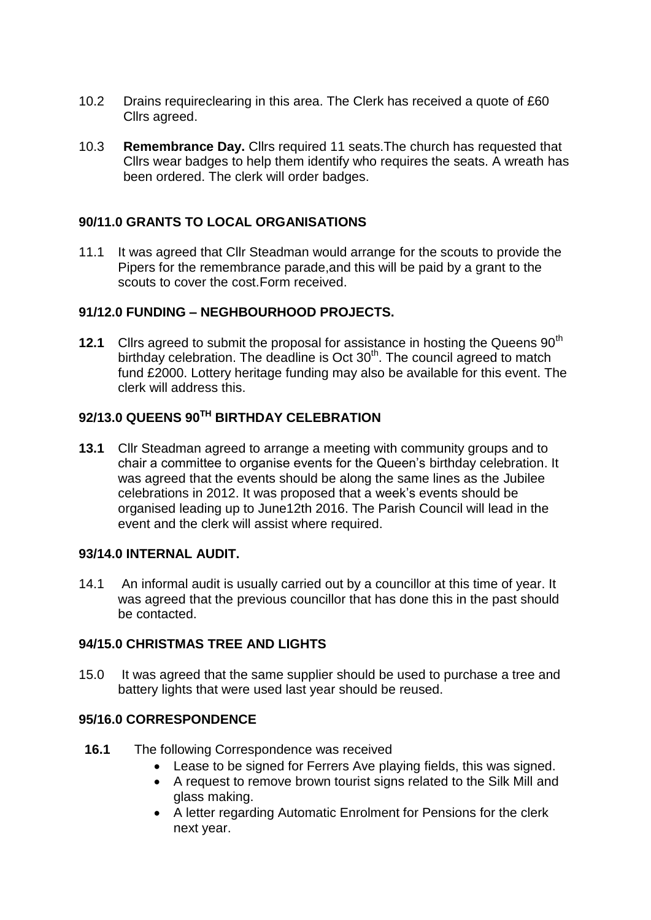- 10.2 Drains requireclearing in this area. The Clerk has received a quote of £60 Cllrs agreed.
- 10.3 **Remembrance Day.** Cllrs required 11 seats.The church has requested that Cllrs wear badges to help them identify who requires the seats. A wreath has been ordered. The clerk will order badges.

## **90/11.0 GRANTS TO LOCAL ORGANISATIONS**

11.1 It was agreed that Cllr Steadman would arrange for the scouts to provide the Pipers for the remembrance parade,and this will be paid by a grant to the scouts to cover the cost.Form received.

### **91/12.0 FUNDING – NEGHBOURHOOD PROJECTS.**

**12.1** Clirs agreed to submit the proposal for assistance in hosting the Queens 90<sup>th</sup> birthday celebration. The deadline is Oct  $30<sup>th</sup>$ . The council agreed to match fund £2000. Lottery heritage funding may also be available for this event. The clerk will address this.

# **92/13.0 QUEENS 90TH BIRTHDAY CELEBRATION**

**13.1** Cllr Steadman agreed to arrange a meeting with community groups and to chair a committee to organise events for the Queen's birthday celebration. It was agreed that the events should be along the same lines as the Jubilee celebrations in 2012. It was proposed that a week's events should be organised leading up to June12th 2016. The Parish Council will lead in the event and the clerk will assist where required.

### **93/14.0 INTERNAL AUDIT.**

14.1 An informal audit is usually carried out by a councillor at this time of year. It was agreed that the previous councillor that has done this in the past should be contacted.

### **94/15.0 CHRISTMAS TREE AND LIGHTS**

15.0 It was agreed that the same supplier should be used to purchase a tree and battery lights that were used last year should be reused.

### **95/16.0 CORRESPONDENCE**

- **16.1** The following Correspondence was received
	- Lease to be signed for Ferrers Ave playing fields, this was signed.
	- A request to remove brown tourist signs related to the Silk Mill and glass making.
	- A letter regarding Automatic Enrolment for Pensions for the clerk next year.